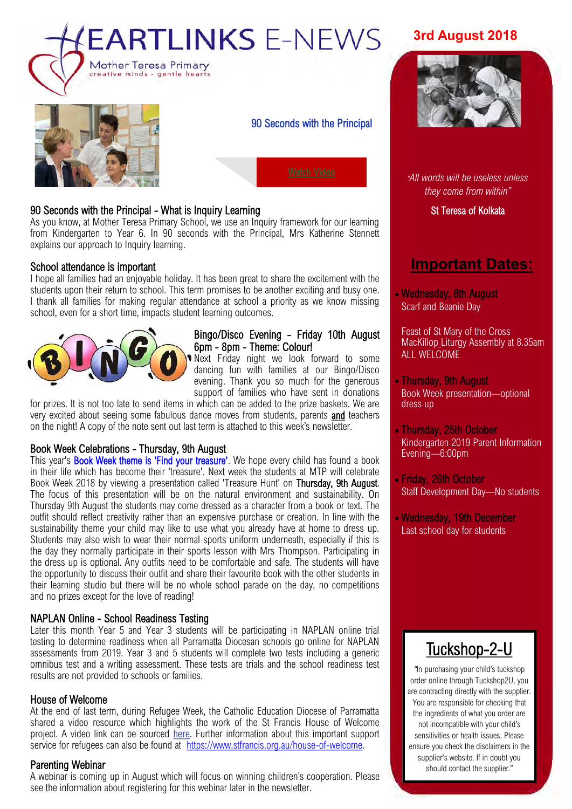



90 Seconds with the Principal

# 90 Seconds with the Principal - What is Inquiry Learning

As you know, at Mother Teresa Primary School, we use an Inquiry framework for our learning from Kindergarten to Year 6. In 90 seconds with the Principal, Mrs Katherine Stennett explains our approach to Inquiry learning.

### School attendance is important

I hope all families had an enjoyable holiday. It has been great to share the excitement with the students upon their return to school. This term promises to be another exciting and busy one. I thank all families for making regular attendance at school a priority as we know missing school, even for a short time, impacts student learning outcomes.



### Bingo/Disco Evening - Friday 10th August 6pm - 8pm - Theme: Colour!

Next Friday night we look forward to some dancing fun with families at our Bingo/Disco evening. Thank you so much for the generous support of families who have sent in donations

for prizes. It is not too late to send items in which can be added to the prize baskets. We are very excited about seeing some fabulous dance moves from students, parents and teachers on the night! A copy of the note sent out last term is attached to this week's newsletter.

## Book Week Celebrations - Thursday, 9th August

This year's **Book Week theme is 'Find your treasure'**. We hope every child has found a book in their life which has become their 'treasure'. Next week the students at MTP will celebrate Book Week 2018 by viewing a presentation called 'Treasure Hunt' on Thursday, 9th August. The focus of this presentation will be on the natural environment and sustainability. On Thursday 9th August the students may come dressed as a character from a book or text. The outfit should reflect creativity rather than an expensive purchase or creation. In line with the sustainability theme your child may like to use what you already have at home to dress up. Students may also wish to wear their normal sports uniform underneath, especially if this is the day they normally participate in their sports lesson with Mrs Thompson. Participating in the dress up is optional. Any outfits need to be comfortable and safe. The students will have the opportunity to discuss their outfit and share their favourite book with the other students in their learning studio but there will be no whole school parade on the day, no competitions and no prizes except for the love of reading!

### NAPLAN Online - School Readiness Testing

Later this month Year 5 and Year 3 students will be participating in NAPLAN online trial testing to determine readiness when all Parramatta Diocesan schools go online for NAPLAN assessments from 2019. Year 3 and 5 students will complete two tests including a generic omnibus test and a writing assessment. These tests are trials and the school readiness test results are not provided to schools or families.

### House of Welcome

At the end of last term, during Refugee Week, the Catholic Education Diocese of Parramatta shared a video resource which highlights the work of the St Francis House of Welcome project. A video link can be sourced [here.](https://www.youtube.com/watch?v=6kGXQAyza_I&feature=youtu.be) Further information about this important support service for refugees can also be found at [https://www.stfrancis.org.au/house](https://www.stfrancis.org.au/house-of-welcome)-of-welcome.

### Parenting Webinar

A webinar is coming up in August which will focus on winning children's cooperation. Please see the information about registering for this webinar later in the newsletter.

# **3rd August 2018**



*"All words will be useless unless they come from within"*

St Teresa of Kolkata

# **Important Dates:**

• Wednesday, 8th August Scarf and Beanie Day

Feast of St Mary of the Cross MacKillop Liturgy Assembly at 8.35am ALL WELCOME

- Thursday, 9th August Book Week presentation—optional dress up
- Thursday, 25th October Kindergarten 2019 Parent Information Evening—6:00pm
- Friday, 26th October Staff Development Day—No students
- Wednesday, 19th December Last school day for students

# [Tuckshop](https://tuckshop2u.com.au/)-2-U

*"*In purchasing your child's tuckshop order online through Tuckshop2U, you are contracting directly with the supplier. You are responsible for checking that the ingredients of what you order are not incompatible with your child's sensitivities or health issues. Please ensure you check the disclaimers in the supplier's website. If in doubt you should contact the supplier."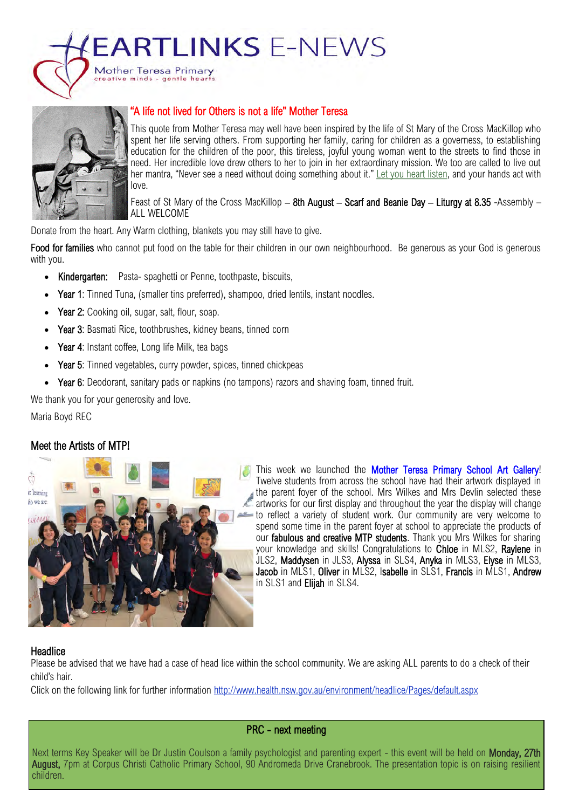**EARTLINKS E-NEWS** 



## "A life not lived for Others is not a life" Mother Teresa

This quote from Mother Teresa may well have been inspired by the life of St Mary of the Cross MacKillop who spent her life serving others. From supporting her family, caring for children as a governess, to establishing education for the children of the poor, this tireless, joyful young woman went to the streets to find those in need. Her incredible love drew others to her to join in her extraordinary mission. We too are called to live out her mantra. "Never see a need without doing something about it." [Let you heart listen,](https://www.youtube.com/watch?v=s5Fii1Qmtvo&feature=youtu.be) and your hands act with love.

Feast of St Mary of the Cross MacKillop – 8th August – Scarf and Beanie Day – Liturgy at 8.35 -Assembly – ALL WELCOME

Donate from the heart. Any Warm clothing, blankets you may still have to give.

Mother Teresa Primary e minds - gentle hea

Food for families who cannot put food on the table for their children in our own neighbourhood. Be generous as your God is generous with you.

- Kindergarten: Pasta- spaghetti or Penne, toothpaste, biscuits,
- Year 1: Tinned Tuna, (smaller tins preferred), shampoo, dried lentils, instant noodles.
- Year 2: Cooking oil, sugar, salt, flour, soap.
- Year 3: Basmati Rice, toothbrushes, kidney beans, tinned corn
- Year 4: Instant coffee, Long life Milk, tea bags
- Year 5: Tinned vegetables, curry powder, spices, tinned chickpeas
- Year 6: Deodorant, sanitary pads or napkins (no tampons) razors and shaving foam, tinned fruit.

We thank you for your generosity and love.

Maria Boyd REC

## Meet the Artists of MTP!



This week we launched the Mother Teresa Primary School Art Gallery! Twelve students from across the school have had their artwork displayed in the parent foyer of the school. Mrs Wilkes and Mrs Devlin selected these artworks for our first display and throughout the year the display will change to reflect a variety of student work. Our community are very welcome to spend some time in the parent foyer at school to appreciate the products of our fabulous and creative MTP students. Thank you Mrs Wilkes for sharing your knowledge and skills! Congratulations to Chloe in MLS2, Raylene in JLS2, Maddysen in JLS3, Alyssa in SLS4, Anyka in MLS3, Elyse in MLS3, Jacob in MLS1, Oliver in MLS2, Isabelle in SLS1, Francis in MLS1, Andrew in SLS1 and Elijah in SLS4.

## **Headlice**

Please be advised that we have had a case of head lice within the school community. We are asking ALL parents to do a check of their child's hair.

Click on the following link for further information <http://www.health.nsw.gov.au/environment/headlice/Pages/default.aspx>

## PRC - next meeting

Next terms Key Speaker will be Dr Justin Coulson a family psychologist and parenting expert - this event will be held on Monday, 27th August, 7pm at Corpus Christi Catholic Primary School, 90 Andromeda Drive Cranebrook. The presentation topic is on raising resilient children.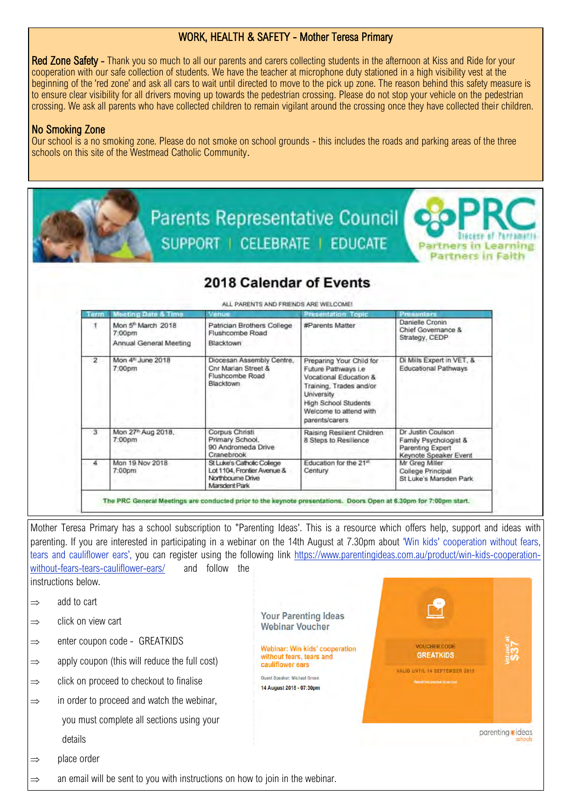# WORK, HEALTH & SAFETY - Mother Teresa Primary

Red Zone Safety - Thank you so much to all our parents and carers collecting students in the afternoon at Kiss and Ride for your cooperation with our safe collection of students. We have the teacher at microphone duty stationed in a high visibility vest at the beginning of the 'red zone' and ask all cars to wait until directed to move to the pick up zone. The reason behind this safety measure is to ensure clear visibility for all drivers moving up towards the pedestrian crossing. Please do not stop your vehicle on the pedestrian crossing. We ask all parents who have collected children to remain vigilant around the crossing once they have collected their children.

# No Smoking Zone

Our school is a no smoking zone. Please do not smoke on school grounds - this includes the roads and parking areas of the three schools on this site of the Westmead Catholic Community.

| SUPPORT   CELEBRATE   EDUCATE<br><b>Partners in Learning</b><br>Partners in Fal                                               |                                                                    |                                                                                                 |                                                                                                                                                                                               |                                                                                         |  |  |  |
|-------------------------------------------------------------------------------------------------------------------------------|--------------------------------------------------------------------|-------------------------------------------------------------------------------------------------|-----------------------------------------------------------------------------------------------------------------------------------------------------------------------------------------------|-----------------------------------------------------------------------------------------|--|--|--|
|                                                                                                                               | 2018 Calendar of Events                                            |                                                                                                 |                                                                                                                                                                                               |                                                                                         |  |  |  |
| ALL PARENTS AND FRIENDS ARE WELCOME!<br><b>Presenters</b><br>Meeting Date & Time<br><b>Presentation Topic</b><br>Venue<br>erm |                                                                    |                                                                                                 |                                                                                                                                                                                               |                                                                                         |  |  |  |
| Ŧ.                                                                                                                            | Mon 5 <sup>th</sup> March 2018<br>7:00pm<br>Annual General Meeting | Patrician Brothers College<br>Flushcombe Road<br>Blacktown                                      | #Parents Matter                                                                                                                                                                               | Danielle Cronin<br>Chief Governance &<br>Strategy, CEDP                                 |  |  |  |
| $\overline{2}$                                                                                                                | Mon 4 <sup>th</sup> June 2018<br>7:00pm                            | Diocesan Assembly Centre.<br>Cnr Marian Street &<br>Flushcombe Road<br>Blacktown                | Preparing Your Child for<br>Future Pathways i.e<br>Vocational Education &<br>Training, Trades and/or<br>University<br><b>High School Students</b><br>Welcome to attend with<br>parents/carers | Di Mills Expert in VET, &<br><b>Educational Pathways</b>                                |  |  |  |
| 3                                                                                                                             | Mon 27 <sup>th</sup> Aug 2018,<br>7:00pm                           | Corpus Christi<br>Primary School,<br>90 Andromeda Drive<br>Cranebrook                           | Raising Resilient Children<br>8 Steps to Resilience                                                                                                                                           | Dr Justin Coulson<br>Family Psychologist &<br>Parenting Expert<br>Keynote Speaker Event |  |  |  |
| 4                                                                                                                             | Mon 19 Nov 2018<br>7:00pm                                          | St Luke's Catholic College<br>Lot 1104, Frontier Avenue &<br>Northbourne Drive<br>Marsdent Park | Education for the 21 <sup>st</sup><br>Century                                                                                                                                                 | Mr Greg Miller<br>College Principal<br>St Luke's Marsden Park                           |  |  |  |

Mother Teresa Primary has a school subscription to "Parenting Ideas'. This is a resource which offers help, support and ideas with parenting. If you are interested in participating in a webinar on the 14th August at 7.30pm about 'Win kids' cooperation without fears, tears and cauliflower ears', you can register using the following link [https://www.parentingideas.com.au/product/win](https://www.parentingideas.com.au/product/win-kids-cooperation-without-fears-tears-cauliflower-ears/)-kids-cooperationwithout-fears-tears-[cauliflower](https://www.parentingideas.com.au/product/win-kids-cooperation-without-fears-tears-cauliflower-ears/)-ears/ and follow the instructions below.

> **Your Parenting Ideas Webinar Voucher**

Webinar: Win kids' cooperation

without fears, tears and cauliflower ears

Guest Speaker: Michael Grose 14 August 2018 - 07:30pm VOLICHER CODE

**GREATKIDS** 

VALID UNTIL 14 SEPTEMBER 2018

parenting \*ideas

 $\Rightarrow$  add to cart

- $\Rightarrow$  click on view cart
- $\Rightarrow$  enter coupon code GREATKIDS
- $\Rightarrow$  apply coupon (this will reduce the full cost)
- $\Rightarrow$  click on proceed to checkout to finalise
- $\Rightarrow$  in order to proceed and watch the webinar, you must complete all sections using your details
- $\Rightarrow$  place order
- $\Rightarrow$  an email will be sent to you with instructions on how to join in the webinar.